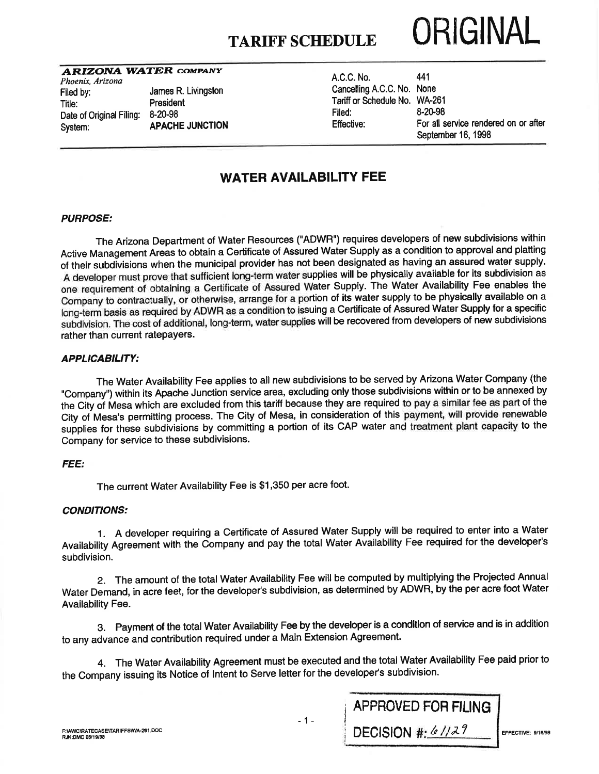

### A RIZONA WATER COMPANY

Phoenix, Arizona Filed by:<br>Title: Title: President Date of Original Filing: 8-20-98 System: **APACHE JUNCTION** 

President

| A.C.C. No.                    | 441                                  |
|-------------------------------|--------------------------------------|
| Cancelling A.C.C. No. None    |                                      |
| Tariff or Schedule No. WA-261 |                                      |
| Filed:                        | 8-20-98                              |
| Effective:                    | For all service rendered on or after |
|                               | September 16, 1998                   |
|                               |                                      |

## WATER AVAILABILITY FEE

#### PURPOSE:

The Arizona Department of Water Resources ("ADWR") requires developers of new subdivisions within Active Management Areas to obtain a Certificate of Assured Water Supply as a condition to approval and platting of their subdivisions when the municipal provider has not been designated as having an assured water supply. A developer must prove that sufficient long-term water supplies will be physically available for its subdivision as one requirement of obtaining a Certificate of Assured Water Supply. The Water Availability Fee enables the Company to contractually, or otherwise, arrange for a portion of its water supply to be physically available on a long-term basis as required by ADWR as a condition to issuing a Certificate of Assured Water Supply for a specific subdivision. The cost of additional, long-term, water supplies will be recovered from developers of new subdivisions rather than current ratepayers.

#### APPLICABILITY:

The Water Availability Fee applies to all new subdivisions to be served by Arizona Water Company (the "Company") within its Apache Junction service area, excluding only those subdivisions within or to be annexed by the City of Mesa which are excluded from this tariff because they are required to pay a similar fee as part of the City of Mesa's permitting process. The City of Mesa, in consideration of this payment, will provide renewable supplies for these subdivisions by committing a portion of its CAP water and treatment plant capacity to the Company for seruice to these subdivisions.

### FEE:

The current Water Availability Fee is \$1,350 per acre foot.

#### CONDITIONS:

1. A developer requiring a Certificate of Assured Water Supply will be required to enter into a Water Availability Agreement with the Company and pay the total Water Availability Fee required for the developer's subdivision.

2. The amount of the total Water Availability Fee will be computed by multiplying the Projected Annual Water Demand, in acre feet, for the developer's subdivision, as determined by ADWR, by the per acre foot Water Availability Fee.

3. Payment of the total Water Availability Fee by the developer is a condition of service and is in addition to any advance and contribution required under a Main Extension Agreement.

4. The Water Availability Agreement must be executed and the total Water Availability Fee paid prior to the Company issuing its Notice of lntent to Serve letter for the developer's subdivision.